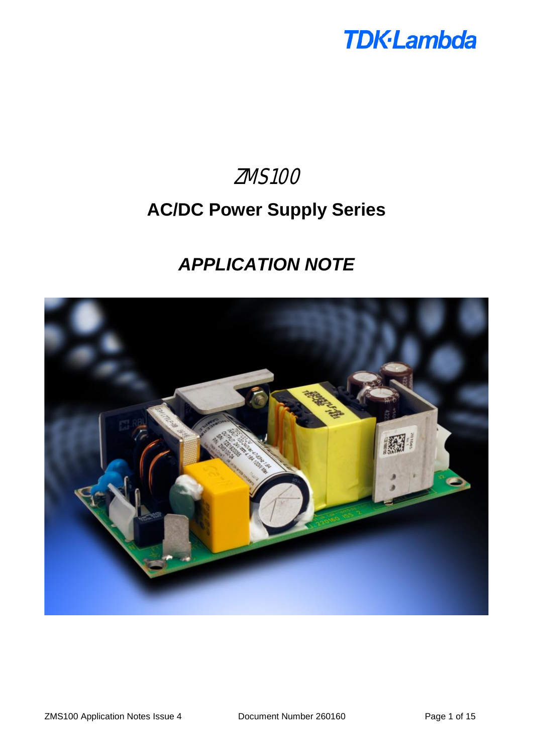

# ZMS100 **AC/DC Power Supply Series**

# *APPLICATION NOTE*

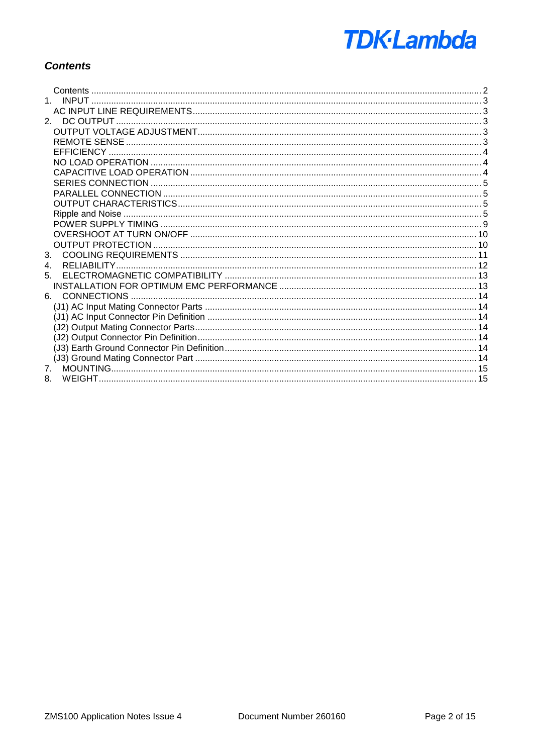

# **Contents**

| $\overline{4}$ . |  |
|------------------|--|
| 5.               |  |
|                  |  |
|                  |  |
|                  |  |
|                  |  |
|                  |  |
|                  |  |
|                  |  |
|                  |  |
|                  |  |
| 8.               |  |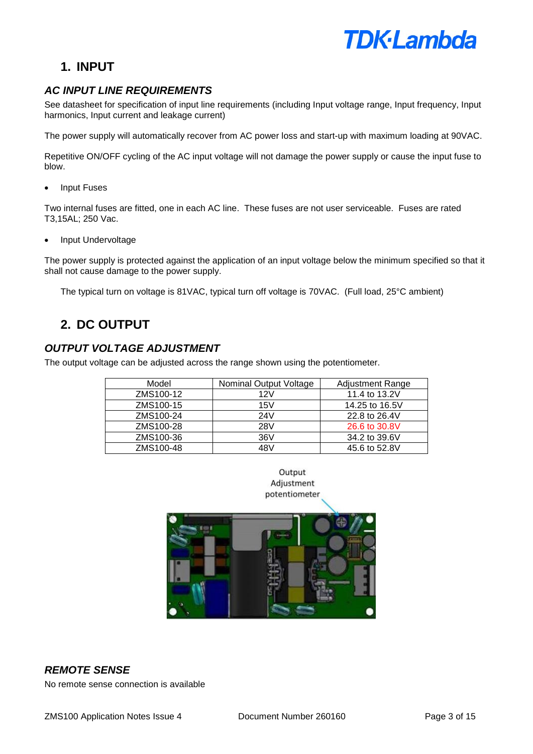

# **1. INPUT**

# *AC INPUT LINE REQUIREMENTS*

See datasheet for specification of input line requirements (including Input voltage range, Input frequency, Input harmonics, Input current and leakage current)

The power supply will automatically recover from AC power loss and start-up with maximum loading at 90VAC.

Repetitive ON/OFF cycling of the AC input voltage will not damage the power supply or cause the input fuse to blow.

**Input Fuses** 

Two internal fuses are fitted, one in each AC line. These fuses are not user serviceable. Fuses are rated T3,15AL; 250 Vac.

• Input Undervoltage

The power supply is protected against the application of an input voltage below the minimum specified so that it shall not cause damage to the power supply.

The typical turn on voltage is 81VAC, typical turn off voltage is 70VAC. (Full load, 25°C ambient)

# **2. DC OUTPUT**

## *OUTPUT VOLTAGE ADJUSTMENT*

The output voltage can be adjusted across the range shown using the potentiometer.

| Model     | <b>Nominal Output Voltage</b> | <b>Adjustment Range</b> |
|-----------|-------------------------------|-------------------------|
| ZMS100-12 | 12V                           | 11.4 to 13.2V           |
| ZMS100-15 | 15V                           | 14.25 to 16.5V          |
| ZMS100-24 | 24V                           | 22.8 to 26.4V           |
| ZMS100-28 | 28V                           | 26.6 to 30.8V           |
| ZMS100-36 | 36V                           | 34.2 to 39.6V           |
| ZMS100-48 | 48V                           | 45.6 to 52.8V           |





# *REMOTE SENSE*

No remote sense connection is available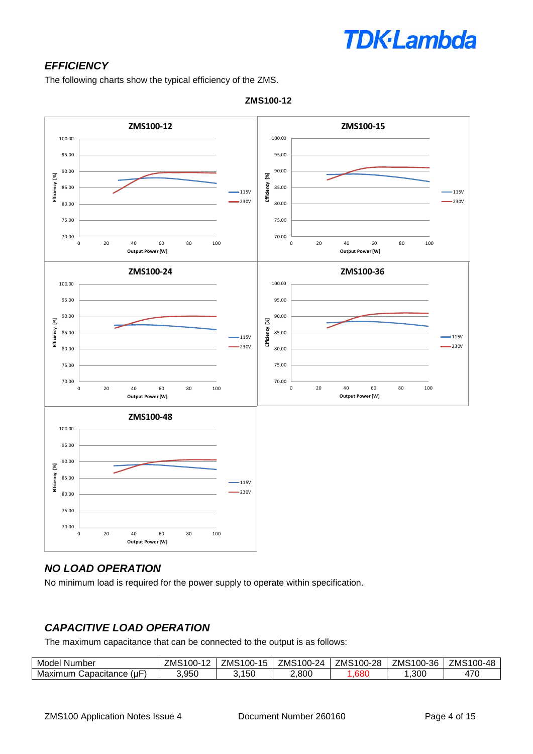# **TDK**-Lambda

# *EFFICIENCY*

The following charts show the typical efficiency of the ZMS.



**ZMS100-12**

# *NO LOAD OPERATION*

No minimum load is required for the power supply to operate within specification.

# *CAPACITIVE LOAD OPERATION*

The maximum capacitance that can be connected to the output is as follows:

| Model<br>Number               | ZMS<br>-<br>$00 -$ | <b>7MS</b><br>$^{\circ}100-$<br>. .<br>ำ | $\rightarrow$<br>100-<br>24<br>'MS | $\sim$<br>ററ<br>$\sim$<br>--<br>′MS<br>JU-<br>,,, | ZMS<br>$00 -$<br>36 | ZMS<br>100-48 |
|-------------------------------|--------------------|------------------------------------------|------------------------------------|---------------------------------------------------|---------------------|---------------|
| (u⊦<br>Capacitance<br>Maximum | 3,950              | 150<br>u.                                | 2,800                              | .680                                              | ,300                | 470           |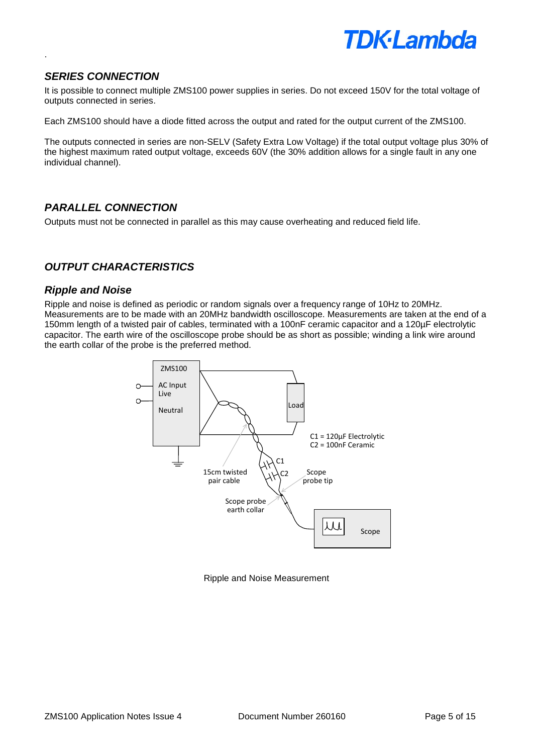

## *SERIES CONNECTION*

.

It is possible to connect multiple ZMS100 power supplies in series. Do not exceed 150V for the total voltage of outputs connected in series.

Each ZMS100 should have a diode fitted across the output and rated for the output current of the ZMS100.

The outputs connected in series are non-SELV (Safety Extra Low Voltage) if the total output voltage plus 30% of the highest maximum rated output voltage, exceeds 60V (the 30% addition allows for a single fault in any one individual channel).

#### *PARALLEL CONNECTION*

Outputs must not be connected in parallel as this may cause overheating and reduced field life.

# *OUTPUT CHARACTERISTICS*

#### *Ripple and Noise*

Ripple and noise is defined as periodic or random signals over a frequency range of 10Hz to 20MHz. Measurements are to be made with an 20MHz bandwidth oscilloscope. Measurements are taken at the end of a 150mm length of a twisted pair of cables, terminated with a 100nF ceramic capacitor and a 120µF electrolytic capacitor. The earth wire of the oscilloscope probe should be as short as possible; winding a link wire around the earth collar of the probe is the preferred method.



Ripple and Noise Measurement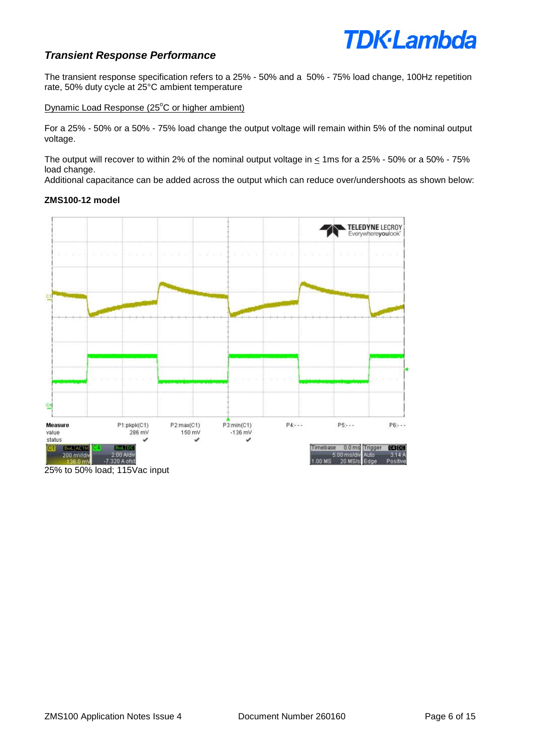# **TDK**·Lambda

### *Transient Response Performance*

The transient response specification refers to a 25% - 50% and a 50% - 75% load change, 100Hz repetition rate, 50% duty cycle at 25°C ambient temperature

Dynamic Load Response (25°C or higher ambient)

For a 25% - 50% or a 50% - 75% load change the output voltage will remain within 5% of the nominal output voltage.

The output will recover to within 2% of the nominal output voltage in  $\leq$  1ms for a 25% - 50% or a 50% - 75% load change.

Additional capacitance can be added across the output which can reduce over/undershoots as shown below:

#### **ZMS100-12 model**



25% to 50% load; 115Vac input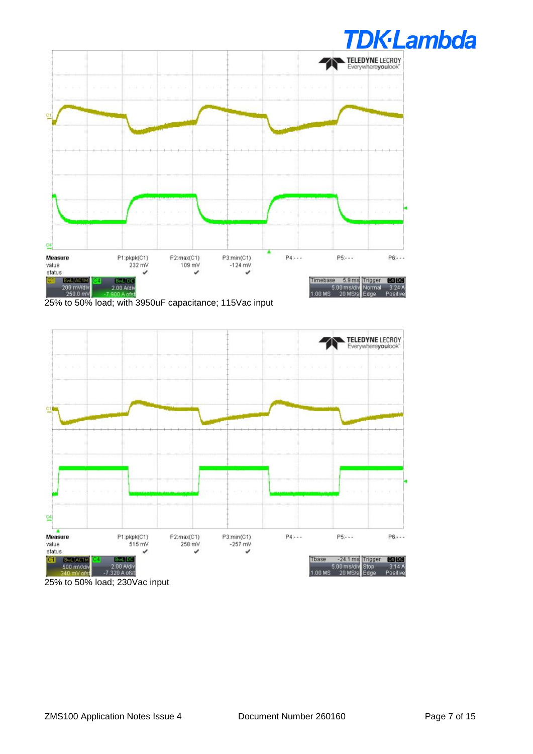

25% to 50% load; with 3950uF capacitance; 115Vac input

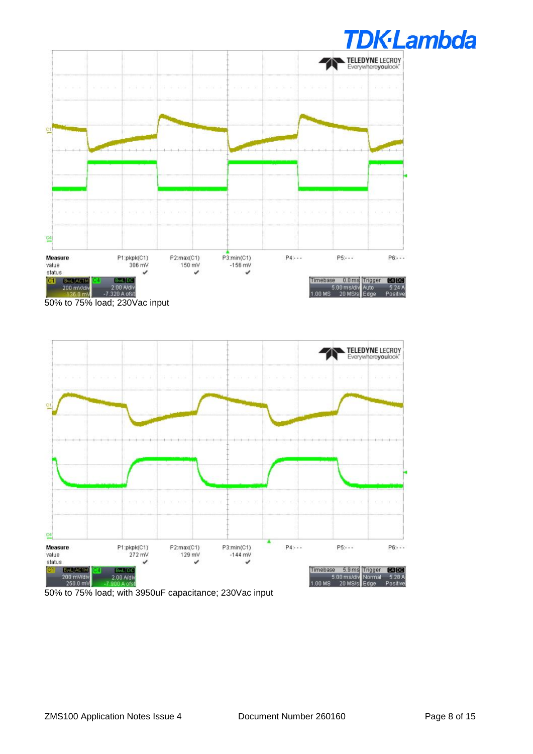



50% to 75% load; with 3950uF capacitance; 230Vac input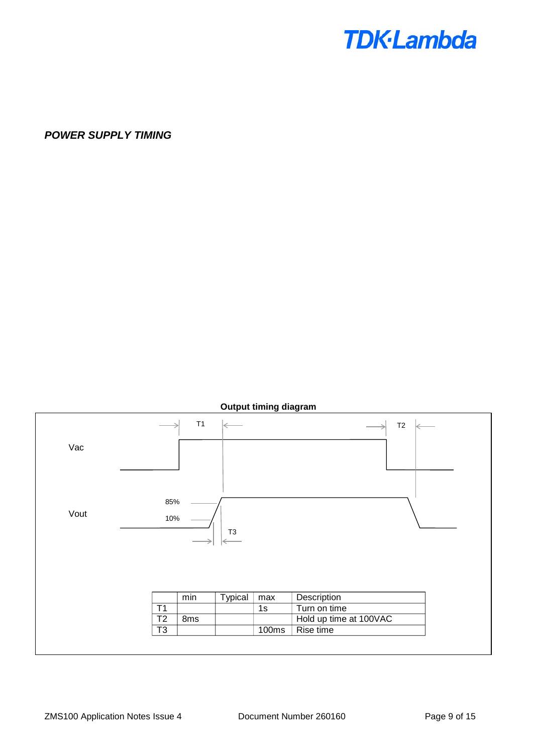

*POWER SUPPLY TIMING*

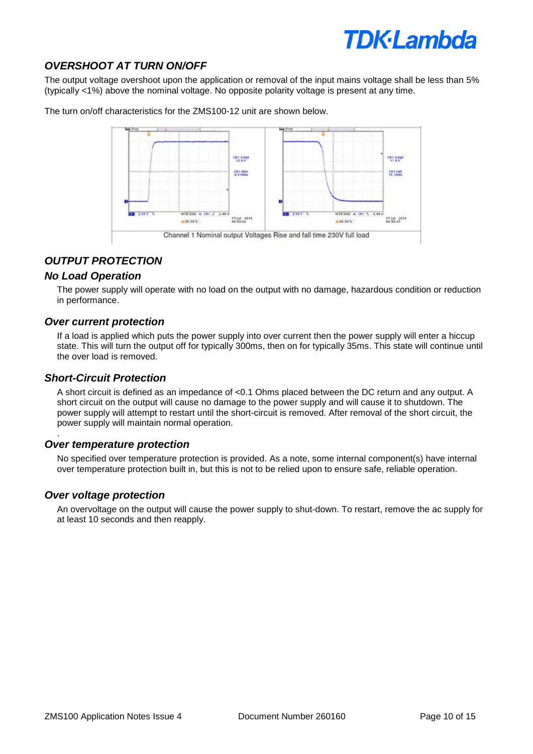# **TDK·Lambda**

# *OVERSHOOT AT TURN ON/OFF*

The output voltage overshoot upon the application or removal of the input mains voltage shall be less than 5% (typically <1%) above the nominal voltage. No opposite polarity voltage is present at any time.

The turn on/off characteristics for the ZMS100-12 unit are shown below.



# *OUTPUT PROTECTION*

#### *No Load Operation*

The power supply will operate with no load on the output with no damage, hazardous condition or reduction in performance.

#### *Over current protection*

If a load is applied which puts the power supply into over current then the power supply will enter a hiccup state. This will turn the output off for typically 300ms, then on for typically 35ms. This state will continue until the over load is removed.

#### *Short-Circuit Protection*

.

A short circuit is defined as an impedance of <0.1 Ohms placed between the DC return and any output. A short circuit on the output will cause no damage to the power supply and will cause it to shutdown. The power supply will attempt to restart until the short-circuit is removed. After removal of the short circuit, the power supply will maintain normal operation.

#### *Over temperature protection*

No specified over temperature protection is provided. As a note, some internal component(s) have internal over temperature protection built in, but this is not to be relied upon to ensure safe, reliable operation.

#### *Over voltage protection*

An overvoltage on the output will cause the power supply to shut-down. To restart, remove the ac supply for at least 10 seconds and then reapply.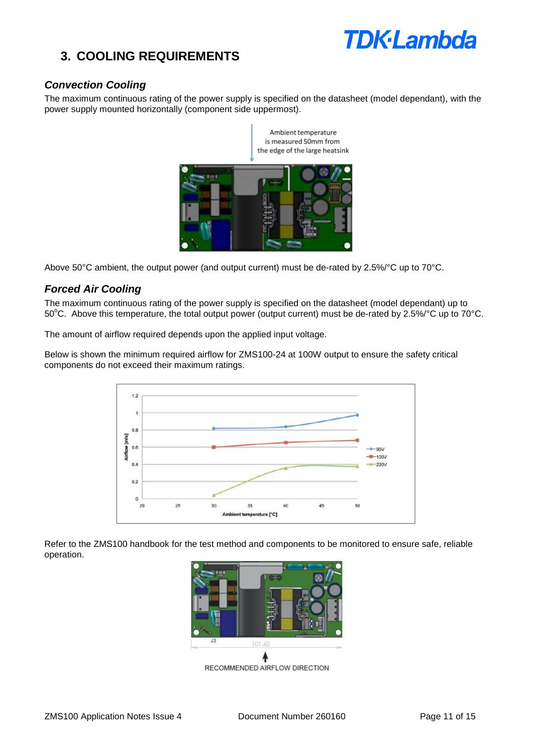

# **3. COOLING REQUIREMENTS**

## *Convection Cooling*

The maximum continuous rating of the power supply is specified on the datasheet (model dependant), with the power supply mounted horizontally (component side uppermost).



Above 50°C ambient, the output power (and output current) must be de-rated by 2.5%/°C up to 70°C.

# *Forced Air Cooling*

The maximum continuous rating of the power supply is specified on the datasheet (model dependant) up to 50°C. Above this temperature, the total output power (output current) must be de-rated by 2.5%/°C up to 70°C.

The amount of airflow required depends upon the applied input voltage.

Below is shown the minimum required airflow for ZMS100-24 at 100W output to ensure the safety critical components do not exceed their maximum ratings.



Refer to the ZMS100 handbook for the test method and components to be monitored to ensure safe, reliable operation.



RECOMMENDED AIRFLOW DIRECTION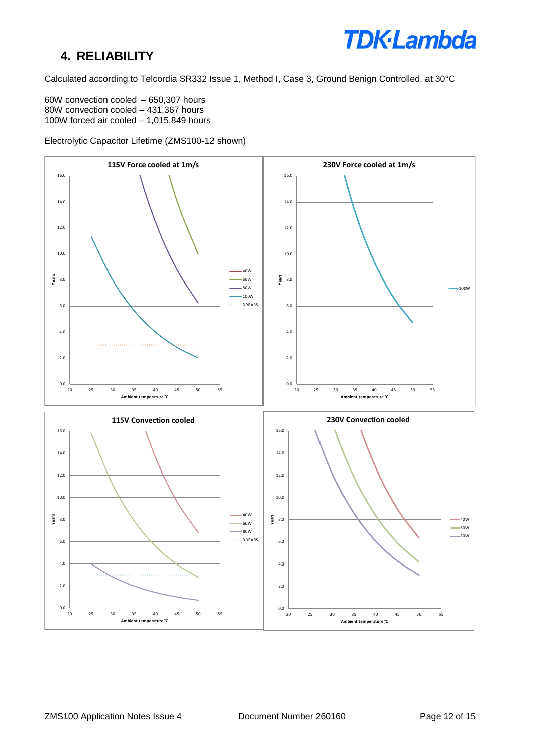# **4. RELIABILITY**



Calculated according to Telcordia SR332 Issue 1, Method I, Case 3, Ground Benign Controlled, at 30°C

60W convection cooled – 650,307 hours 80W convection cooled – 431,367 hours 100W forced air cooled – 1,015,849 hours

Electrolytic Capacitor Lifetime (ZMS100-12 shown)

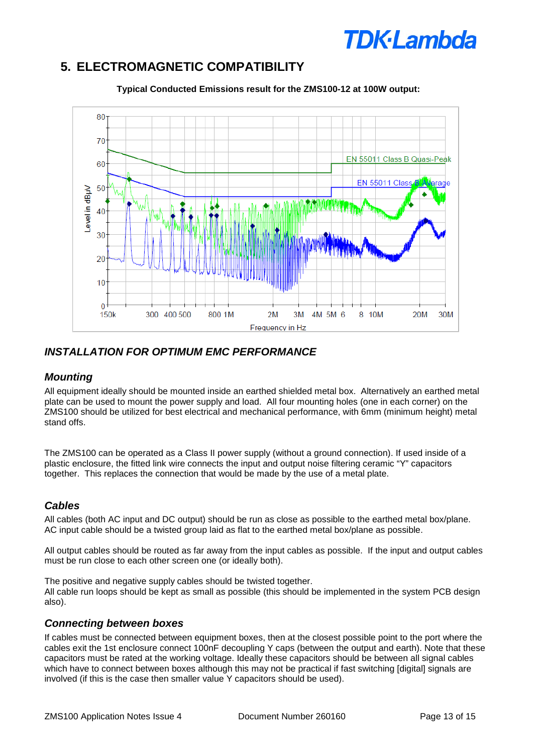# **TDK**·Lambda

# **5. ELECTROMAGNETIC COMPATIBILITY**



**Typical Conducted Emissions result for the ZMS100-12 at 100W output:**

# *INSTALLATION FOR OPTIMUM EMC PERFORMANCE*

### *Mounting*

All equipment ideally should be mounted inside an earthed shielded metal box. Alternatively an earthed metal plate can be used to mount the power supply and load. All four mounting holes (one in each corner) on the ZMS100 should be utilized for best electrical and mechanical performance, with 6mm (minimum height) metal stand offs.

The ZMS100 can be operated as a Class II power supply (without a ground connection). If used inside of a plastic enclosure, the fitted link wire connects the input and output noise filtering ceramic "Y" capacitors together. This replaces the connection that would be made by the use of a metal plate.

# *Cables*

All cables (both AC input and DC output) should be run as close as possible to the earthed metal box/plane. AC input cable should be a twisted group laid as flat to the earthed metal box/plane as possible.

All output cables should be routed as far away from the input cables as possible. If the input and output cables must be run close to each other screen one (or ideally both).

The positive and negative supply cables should be twisted together. All cable run loops should be kept as small as possible (this should be implemented in the system PCB design also).

# *Connecting between boxes*

If cables must be connected between equipment boxes, then at the closest possible point to the port where the cables exit the 1st enclosure connect 100nF decoupling Y caps (between the output and earth). Note that these capacitors must be rated at the working voltage. Ideally these capacitors should be between all signal cables which have to connect between boxes although this may not be practical if fast switching [digital] signals are involved (if this is the case then smaller value Y capacitors should be used).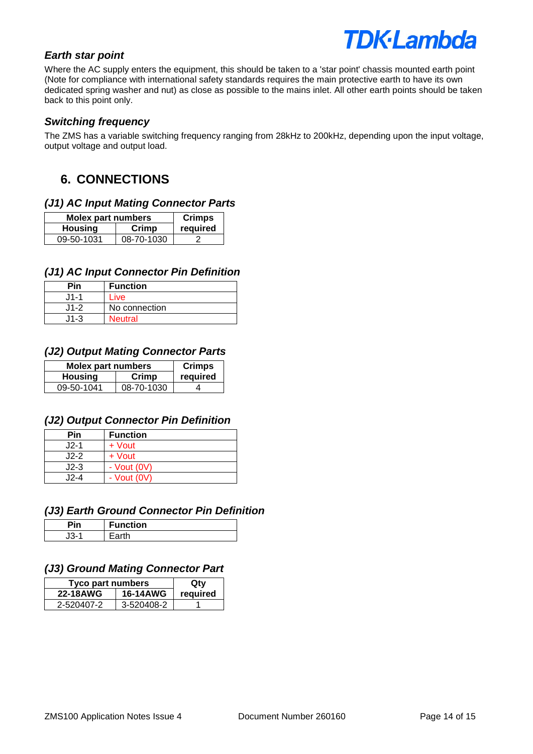

### *Earth star point*

Where the AC supply enters the equipment, this should be taken to a 'star point' chassis mounted earth point (Note for compliance with international safety standards requires the main protective earth to have its own dedicated spring washer and nut) as close as possible to the mains inlet. All other earth points should be taken back to this point only.

### *Switching frequency*

The ZMS has a variable switching frequency ranging from 28kHz to 200kHz, depending upon the input voltage, output voltage and output load.

# **6. CONNECTIONS**

### *(J1) AC Input Mating Connector Parts*

| <b>Molex part numbers</b> | <b>Crimps</b> |          |
|---------------------------|---------------|----------|
| <b>Housing</b>            | Crimp         | required |
| 09-50-1031                | 08-70-1030    |          |

### *(J1) AC Input Connector Pin Definition*

| Pin      | <b>Function</b> |
|----------|-----------------|
| .J1-1    | Live            |
| $J1-2$   | No connection   |
| $11 - 3$ | <b>Neutral</b>  |

#### *(J2) Output Mating Connector Parts*

| <b>Molex part numbers</b> | <b>Crimps</b> |          |
|---------------------------|---------------|----------|
| <b>Housing</b>            | Crimp         | required |
| 09-50-1041                | 08-70-1030    |          |

#### *(J2) Output Connector Pin Definition*

| Pin    | <b>Function</b> |
|--------|-----------------|
| $J2-1$ | + Vout          |
| $J2-2$ | + Vout          |
| $J2-3$ | - $Vout (0V)$   |
| 12-4   | - $Vout (0V)$   |

# *(J3) Earth Ground Connector Pin Definition*

| $\mathcal{L}$ | <b>Function</b> |
|---------------|-----------------|
| $\sim$<br>۰.  | rth -           |

# *(J3) Ground Mating Connector Part*

| Tyco part numbers | Qtv             |          |
|-------------------|-----------------|----------|
| <b>22-18AWG</b>   | <b>16-14AWG</b> | required |
| 2-520407-2        | 3-520408-2      |          |